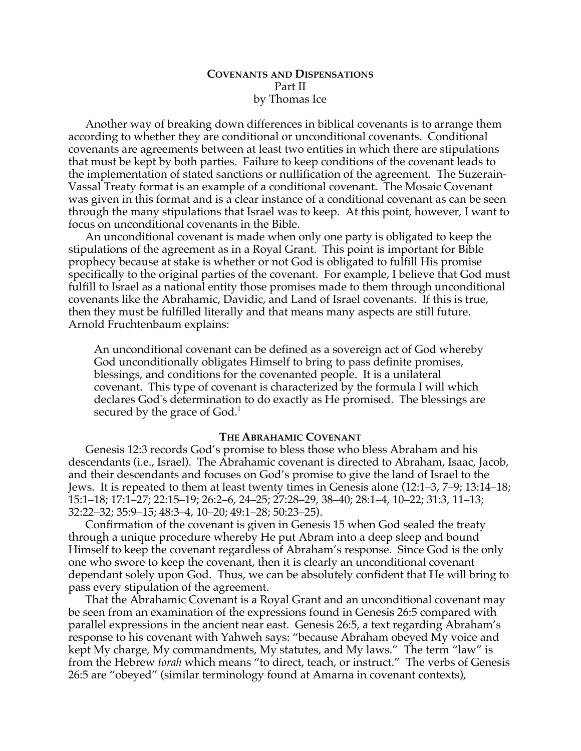# **COVENANTS AND DISPENSATIONS** Part II by Thomas Ice

Another way of breaking down differences in biblical covenants is to arrange them according to whether they are conditional or unconditional covenants. Conditional covenants are agreements between at least two entities in which there are stipulations that must be kept by both parties. Failure to keep conditions of the covenant leads to the implementation of stated sanctions or nullification of the agreement. The Suzerain-Vassal Treaty format is an example of a conditional covenant. The Mosaic Covenant was given in this format and is a clear instance of a conditional covenant as can be seen through the many stipulations that Israel was to keep. At this point, however, I want to focus on unconditional covenants in the Bible.

An unconditional covenant is made when only one party is obligated to keep the stipulations of the agreement as in a Royal Grant. This point is important for Bible prophecy because at stake is whether or not God is obligated to fulfill His promise specifically to the original parties of the covenant. For example, I believe that God must fulfill to Israel as a national entity those promises made to them through unconditional covenants like the Abrahamic, Davidic, and Land of Israel covenants. If this is true, then they must be fulfilled literally and that means many aspects are still future. Arnold Fruchtenbaum explains:

An unconditional covenant can be defined as a sovereign act of God whereby God unconditionally obligates Himself to bring to pass definite promises, blessings, and conditions for the covenanted people. It is a unilateral covenant. This type of covenant is characterized by the formula I will which declares God's determination to do exactly as He promised. The blessings are secured by the grace of  $God.<sup>1</sup>$ 

# **THE ABRAHAMIC COVENANT**

Genesis 12:3 records God's promise to bless those who bless Abraham and his descendants (i.e., Israel). The Abrahamic covenant is directed to Abraham, Isaac, Jacob, and their descendants and focuses on God's promise to give the land of Israel to the Jews. It is repeated to them at least twenty times in Genesis alone (12:1–3, 7–9; 13:14–18; 15:1–18; 17:1–27; 22:15–19; 26:2–6, 24–25; 27:28–29, 38–40; 28:1–4, 10–22; 31:3, 11–13; 32:22–32; 35:9–15; 48:3–4, 10–20; 49:1–28; 50:23–25).

Confirmation of the covenant is given in Genesis 15 when God sealed the treaty through a unique procedure whereby He put Abram into a deep sleep and bound Himself to keep the covenant regardless of Abraham's response. Since God is the only one who swore to keep the covenant, then it is clearly an unconditional covenant dependant solely upon God. Thus, we can be absolutely confident that He will bring to pass every stipulation of the agreement.

That the Abrahamic Covenant is a Royal Grant and an unconditional covenant may be seen from an examination of the expressions found in Genesis 26:5 compared with parallel expressions in the ancient near east. Genesis 26:5, a text regarding Abraham's response to his covenant with Yahweh says: "because Abraham obeyed My voice and kept My charge, My commandments, My statutes, and My laws." The term "law" is from the Hebrew *torah* which means "to direct, teach, or instruct." The verbs of Genesis 26:5 are "obeyed" (similar terminology found at Amarna in covenant contexts),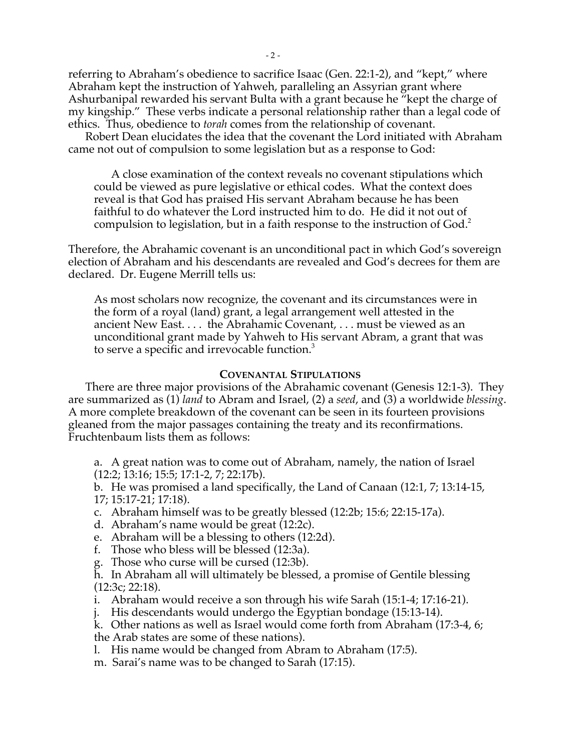referring to Abraham's obedience to sacrifice Isaac (Gen. 22:1-2), and "kept," where Abraham kept the instruction of Yahweh, paralleling an Assyrian grant where Ashurbanipal rewarded his servant Bulta with a grant because he "kept the charge of my kingship." These verbs indicate a personal relationship rather than a legal code of ethics. Thus, obedience to *torah* comes from the relationship of covenant.

Robert Dean elucidates the idea that the covenant the Lord initiated with Abraham came not out of compulsion to some legislation but as a response to God:

A close examination of the context reveals no covenant stipulations which could be viewed as pure legislative or ethical codes. What the context does reveal is that God has praised His servant Abraham because he has been faithful to do whatever the Lord instructed him to do. He did it not out of compulsion to legislation, but in a faith response to the instruction of God.<sup>2</sup>

Therefore, the Abrahamic covenant is an unconditional pact in which God's sovereign election of Abraham and his descendants are revealed and God's decrees for them are declared. Dr. Eugene Merrill tells us:

As most scholars now recognize, the covenant and its circumstances were in the form of a royal (land) grant, a legal arrangement well attested in the ancient New East. . . . the Abrahamic Covenant, . . . must be viewed as an unconditional grant made by Yahweh to His servant Abram, a grant that was to serve a specific and irrevocable function.<sup>3</sup>

### **COVENANTAL STIPULATIONS**

There are three major provisions of the Abrahamic covenant (Genesis 12:1-3). They are summarized as (1) *land* to Abram and Israel, (2) a *seed*, and (3) a worldwide *blessing*. A more complete breakdown of the covenant can be seen in its fourteen provisions gleaned from the major passages containing the treaty and its reconfirmations. Fruchtenbaum lists them as follows:

a. A great nation was to come out of Abraham, namely, the nation of Israel (12:2; 13:16; 15:5; 17:1-2, 7; 22:17b).

b. He was promised a land specifically, the Land of Canaan (12:1, 7; 13:14-15, 17; 15:17-21; 17:18).

- c. Abraham himself was to be greatly blessed (12:2b; 15:6; 22:15-17a).
- d. Abraham's name would be great (12:2c).
- e. Abraham will be a blessing to others (12:2d).
- f. Those who bless will be blessed (12:3a).
- g. Those who curse will be cursed (12:3b).
- h. In Abraham all will ultimately be blessed, a promise of Gentile blessing (12:3c; 22:18).
- i. Abraham would receive a son through his wife Sarah (15:1-4; 17:16-21).
- j. His descendants would undergo the Egyptian bondage (15:13-14).
- k. Other nations as well as Israel would come forth from Abraham (17:3-4, 6; the Arab states are some of these nations).
- l. His name would be changed from Abram to Abraham (17:5).
- m. Sarai's name was to be changed to Sarah (17:15).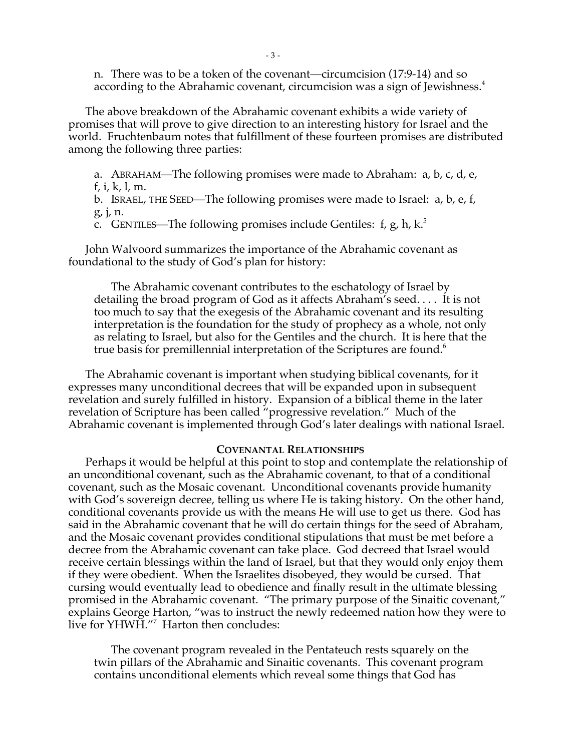n. There was to be a token of the covenant—circumcision (17:9-14) and so according to the Abrahamic covenant, circumcision was a sign of Jewishness.<sup>4</sup>

The above breakdown of the Abrahamic covenant exhibits a wide variety of promises that will prove to give direction to an interesting history for Israel and the world. Fruchtenbaum notes that fulfillment of these fourteen promises are distributed among the following three parties:

a. ABRAHAM—The following promises were made to Abraham: a, b, c, d, e,

f, i, k, l, m.

b. ISRAEL, THE SEED—The following promises were made to Israel: a, b, e, f, g, j, n.

c. GENTILES—The following promises include Gentiles: f, g, h, k.<sup>5</sup>

John Walvoord summarizes the importance of the Abrahamic covenant as foundational to the study of God's plan for history:

The Abrahamic covenant contributes to the eschatology of Israel by detailing the broad program of God as it affects Abraham's seed. . . . It is not too much to say that the exegesis of the Abrahamic covenant and its resulting interpretation is the foundation for the study of prophecy as a whole, not only as relating to Israel, but also for the Gentiles and the church. It is here that the true basis for premillennial interpretation of the Scriptures are found.<sup>6</sup>

The Abrahamic covenant is important when studying biblical covenants, for it expresses many unconditional decrees that will be expanded upon in subsequent revelation and surely fulfilled in history. Expansion of a biblical theme in the later revelation of Scripture has been called "progressive revelation." Much of the Abrahamic covenant is implemented through God's later dealings with national Israel.

# **COVENANTAL RELATIONSHIPS**

Perhaps it would be helpful at this point to stop and contemplate the relationship of an unconditional covenant, such as the Abrahamic covenant, to that of a conditional covenant, such as the Mosaic covenant. Unconditional covenants provide humanity with God's sovereign decree, telling us where He is taking history. On the other hand, conditional covenants provide us with the means He will use to get us there. God has said in the Abrahamic covenant that he will do certain things for the seed of Abraham, and the Mosaic covenant provides conditional stipulations that must be met before a decree from the Abrahamic covenant can take place. God decreed that Israel would receive certain blessings within the land of Israel, but that they would only enjoy them if they were obedient. When the Israelites disobeyed, they would be cursed. That cursing would eventually lead to obedience and finally result in the ultimate blessing promised in the Abrahamic covenant. "The primary purpose of the Sinaitic covenant," explains George Harton, "was to instruct the newly redeemed nation how they were to live for YHWH."7 Harton then concludes:

The covenant program revealed in the Pentateuch rests squarely on the twin pillars of the Abrahamic and Sinaitic covenants. This covenant program contains unconditional elements which reveal some things that God has